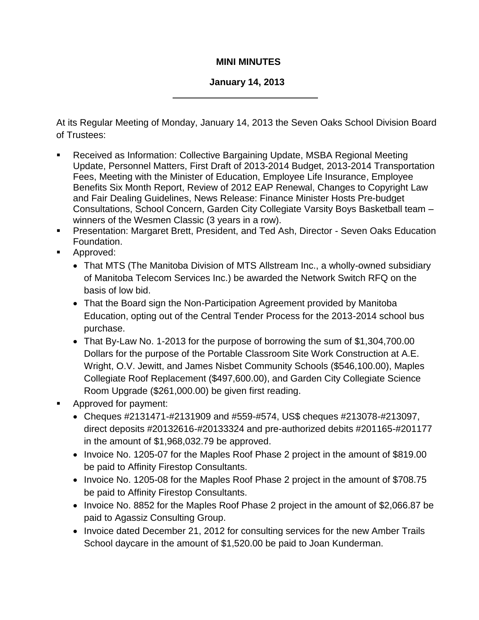## **MINI MINUTES**

## **January 14, 2013**

At its Regular Meeting of Monday, January 14, 2013 the Seven Oaks School Division Board of Trustees:

- Received as Information: Collective Bargaining Update, MSBA Regional Meeting Update, Personnel Matters, First Draft of 2013-2014 Budget, 2013-2014 Transportation Fees, Meeting with the Minister of Education, Employee Life Insurance, Employee Benefits Six Month Report, Review of 2012 EAP Renewal, Changes to Copyright Law and Fair Dealing Guidelines, News Release: Finance Minister Hosts Pre-budget Consultations, School Concern, Garden City Collegiate Varsity Boys Basketball team – winners of the Wesmen Classic (3 years in a row).
- Presentation: Margaret Brett, President, and Ted Ash, Director Seven Oaks Education Foundation.
- **Approved:** 
	- That MTS (The Manitoba Division of MTS Allstream Inc., a wholly-owned subsidiary of Manitoba Telecom Services Inc.) be awarded the Network Switch RFQ on the basis of low bid.
	- That the Board sign the Non-Participation Agreement provided by Manitoba Education, opting out of the Central Tender Process for the 2013-2014 school bus purchase.
	- That By-Law No. 1-2013 for the purpose of borrowing the sum of \$1,304,700.00 Dollars for the purpose of the Portable Classroom Site Work Construction at A.E. Wright, O.V. Jewitt, and James Nisbet Community Schools (\$546,100.00), Maples Collegiate Roof Replacement (\$497,600.00), and Garden City Collegiate Science Room Upgrade (\$261,000.00) be given first reading.
- **Approved for payment:** 
	- Cheques #2131471-#2131909 and #559-#574, US\$ cheques #213078-#213097, direct deposits #20132616-#20133324 and pre-authorized debits #201165-#201177 in the amount of \$1,968,032.79 be approved.
	- Invoice No. 1205-07 for the Maples Roof Phase 2 project in the amount of \$819.00 be paid to Affinity Firestop Consultants.
	- Invoice No. 1205-08 for the Maples Roof Phase 2 project in the amount of \$708.75 be paid to Affinity Firestop Consultants.
	- Invoice No. 8852 for the Maples Roof Phase 2 project in the amount of \$2,066.87 be paid to Agassiz Consulting Group.
	- Invoice dated December 21, 2012 for consulting services for the new Amber Trails School daycare in the amount of \$1,520.00 be paid to Joan Kunderman.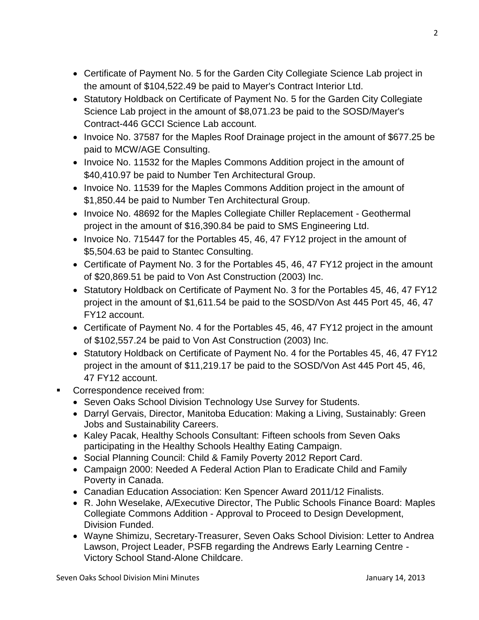- Certificate of Payment No. 5 for the Garden City Collegiate Science Lab project in the amount of \$104,522.49 be paid to Mayer's Contract Interior Ltd.
- Statutory Holdback on Certificate of Payment No. 5 for the Garden City Collegiate Science Lab project in the amount of \$8,071.23 be paid to the SOSD/Mayer's Contract-446 GCCI Science Lab account.
- Invoice No. 37587 for the Maples Roof Drainage project in the amount of \$677.25 be paid to MCW/AGE Consulting.
- Invoice No. 11532 for the Maples Commons Addition project in the amount of \$40,410.97 be paid to Number Ten Architectural Group.
- Invoice No. 11539 for the Maples Commons Addition project in the amount of \$1,850.44 be paid to Number Ten Architectural Group.
- Invoice No. 48692 for the Maples Collegiate Chiller Replacement Geothermal project in the amount of \$16,390.84 be paid to SMS Engineering Ltd.
- Invoice No. 715447 for the Portables 45, 46, 47 FY12 project in the amount of \$5,504.63 be paid to Stantec Consulting.
- Certificate of Payment No. 3 for the Portables 45, 46, 47 FY12 project in the amount of \$20,869.51 be paid to Von Ast Construction (2003) Inc.
- Statutory Holdback on Certificate of Payment No. 3 for the Portables 45, 46, 47 FY12 project in the amount of \$1,611.54 be paid to the SOSD/Von Ast 445 Port 45, 46, 47 FY12 account.
- Certificate of Payment No. 4 for the Portables 45, 46, 47 FY12 project in the amount of \$102,557.24 be paid to Von Ast Construction (2003) Inc.
- Statutory Holdback on Certificate of Payment No. 4 for the Portables 45, 46, 47 FY12 project in the amount of \$11,219.17 be paid to the SOSD/Von Ast 445 Port 45, 46, 47 FY12 account.
- Correspondence received from:
	- Seven Oaks School Division Technology Use Survey for Students.
	- Darryl Gervais, Director, Manitoba Education: Making a Living, Sustainably: Green Jobs and Sustainability Careers.
	- Kaley Pacak, Healthy Schools Consultant: Fifteen schools from Seven Oaks participating in the Healthy Schools Healthy Eating Campaign.
	- Social Planning Council: Child & Family Poverty 2012 Report Card.
	- Campaign 2000: Needed A Federal Action Plan to Eradicate Child and Family Poverty in Canada.
	- Canadian Education Association: Ken Spencer Award 2011/12 Finalists.
	- R. John Weselake, A/Executive Director, The Public Schools Finance Board: Maples Collegiate Commons Addition - Approval to Proceed to Design Development, Division Funded.
	- Wayne Shimizu, Secretary-Treasurer, Seven Oaks School Division: Letter to Andrea Lawson, Project Leader, PSFB regarding the Andrews Early Learning Centre - Victory School Stand-Alone Childcare.